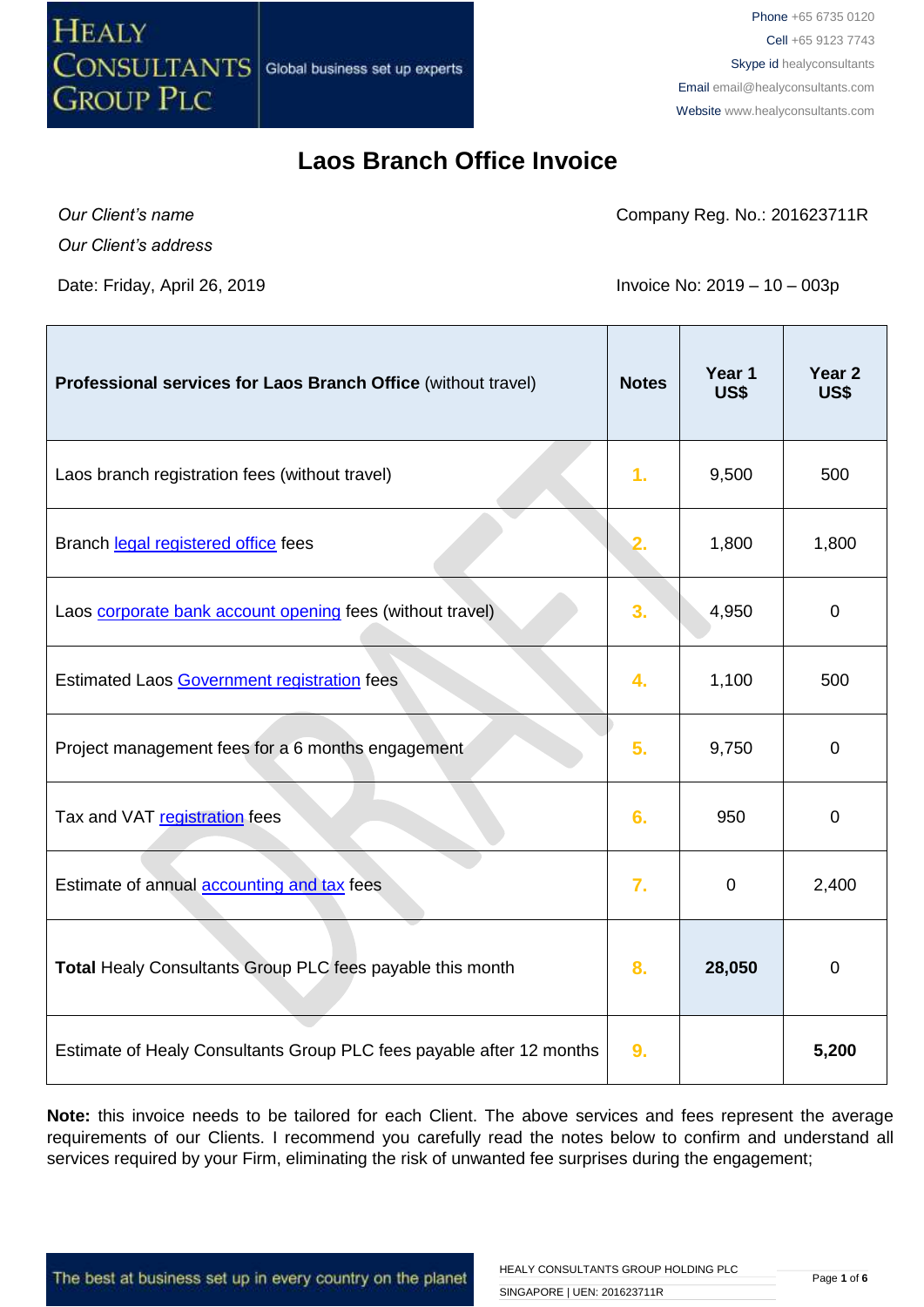

Phone +65 6735 0120 Cell +65 9123 7743 Skype id healyconsultants Email [email@healyconsultants.com](mailto:EMAIL@HEALYCONSULTANTS.COM) Website [www.healyconsultants.com](http://www.healyconsultants.com/)

### **Laos Branch Office Invoice**

*Our Client's name*

*Our Client's address*

Company Reg. No.: 201623711R

Date: Friday, April 26, 2019 **Invoice No: 2019** - 10 – 003p

| Professional services for Laos Branch Office (without travel)        | <b>Notes</b> | Year 1<br>US\$ | Year <sub>2</sub><br>US\$ |
|----------------------------------------------------------------------|--------------|----------------|---------------------------|
| Laos branch registration fees (without travel)                       | 1.           | 9,500          | 500                       |
| Branch legal registered office fees                                  | 2.           | 1,800          | 1,800                     |
| Laos corporate bank account opening fees (without travel)            | 3.           | 4,950          | $\mathbf 0$               |
| Estimated Laos Government registration fees                          | 4.           | 1,100          | 500                       |
| Project management fees for a 6 months engagement                    | 5.           | 9,750          | $\Omega$                  |
| Tax and VAT registration fees                                        | 6.           | 950            | $\mathbf 0$               |
| Estimate of annual accounting and tax fees                           | 7.           | $\mathbf 0$    | 2,400                     |
| Total Healy Consultants Group PLC fees payable this month            | 8.           | 28,050         | $\mathbf 0$               |
| Estimate of Healy Consultants Group PLC fees payable after 12 months | 9.           |                | 5,200                     |

Note: this invoice needs to be tailored for each Client. The above services and fees represent the average requirements of our Clients. I recommend you carefully read the notes below to confirm and understand all services required by your Firm, eliminating the risk of unwanted fee surprises during the engagement;

The best at business set up in every country on the planet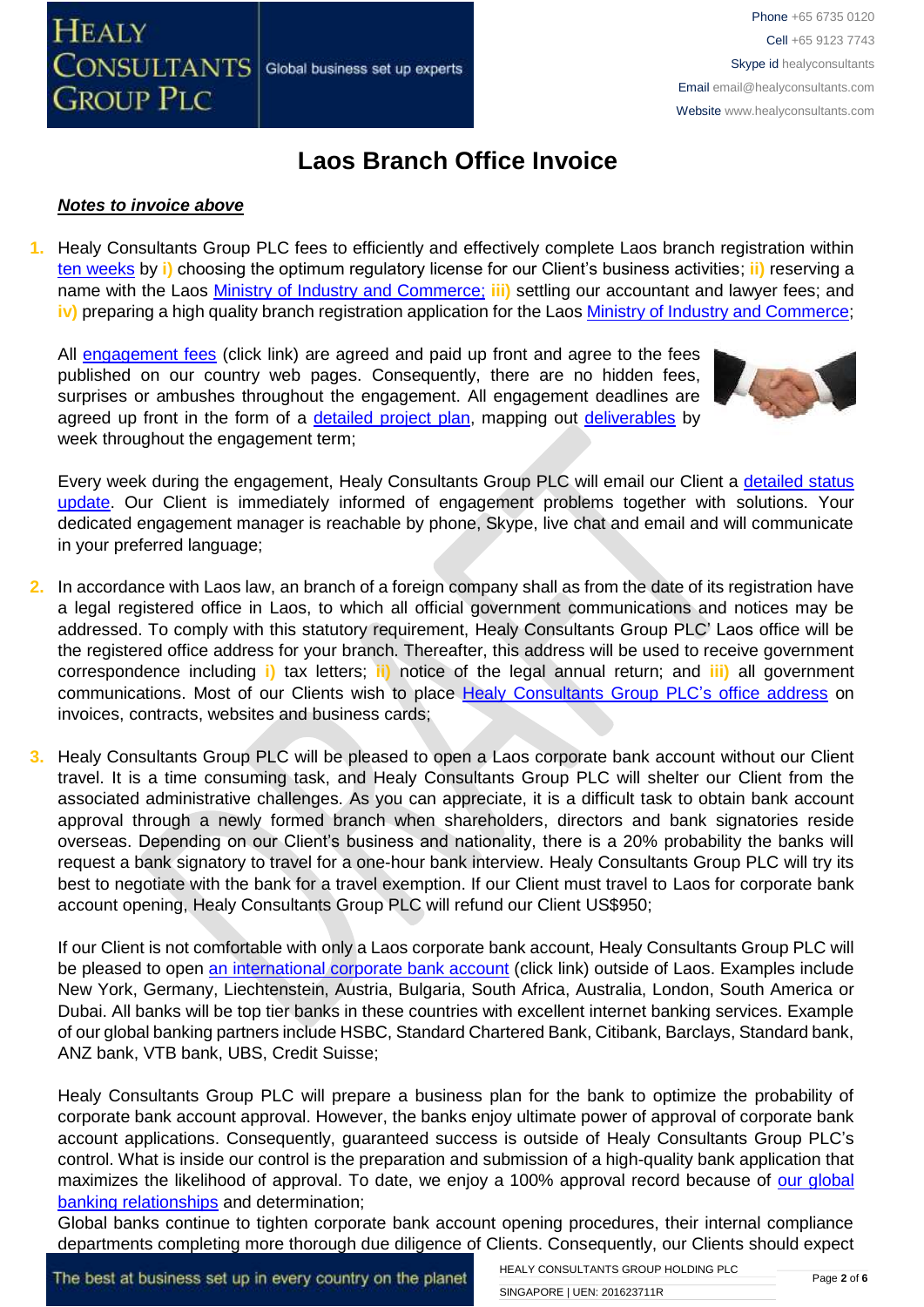# **Laos Branch Office Invoice**

#### *Notes to invoice above*

**CONSULTANTS** 

**GROUP PLC** 

**HEALY** 

**1.** Healy Consultants Group PLC fees to efficiently and effectively complete Laos branch registration within [ten weeks](http://www.healyconsultants.com/laos-company-registration/fees-timelines/) by **i)** choosing the optimum regulatory license for our Client's business activities; **ii)** reserving a name with the Laos [Ministry of Industry and Commerce;](http://www.moic.gov.la/) **iii)** settling our accountant and lawyer fees; and **iv)** preparing a high quality branch registration application for the Laos [Ministry of Industry and Commerce;](http://www.moic.gov.la/)

All [engagement fees](http://www.healyconsultants.com/company-registration-fees/) (click link) are agreed and paid up front and agree to the fees published on our country web pages. Consequently, there are no hidden fees, surprises or ambushes throughout the engagement. All engagement deadlines are agreed up front in the form of a [detailed project plan,](http://www.healyconsultants.com/index-important-links/example-project-plan/) mapping out [deliverables](http://www.healyconsultants.com/deliverables-to-our-clients/) by week throughout the engagement term;

Global business set up experts



Every week during the engagement, Healy Consultants Group PLC will email our Client a detailed status [update.](http://www.healyconsultants.com/index-important-links/weekly-engagement-status-email/) Our Client is immediately informed of engagement problems together with solutions. Your dedicated engagement manager is reachable by phone, Skype, live chat and email and will communicate in your preferred language;

- **2.** In accordance with Laos law, an branch of a foreign company shall as from the date of its registration have a legal registered office in Laos, to which all official government communications and notices may be addressed. To comply with this statutory requirement, Healy Consultants Group PLC' Laos office will be the registered office address for your branch. Thereafter, this address will be used to receive government correspondence including **i)** tax letters; **ii)** notice of the legal annual return; and **iii)** all government communications. Most of our Clients wish to place [Healy Consultants Group PLC's](http://www.healyconsultants.com/corporate-outsourcing-services/company-secretary-and-legal-registered-office/) office address on invoices, contracts, websites and business cards;
- **3.** Healy Consultants Group PLC will be pleased to open a Laos corporate bank account without our Client travel. It is a time consuming task, and Healy Consultants Group PLC will shelter our Client from the associated administrative challenges. As you can appreciate, it is a difficult task to obtain bank account approval through a newly formed branch when shareholders, directors and bank signatories reside overseas. Depending on our Client's business and nationality, there is a 20% probability the banks will request a bank signatory to travel for a one-hour bank interview. Healy Consultants Group PLC will try its best to negotiate with the bank for a travel exemption. If our Client must travel to Laos for corporate bank account opening, Healy Consultants Group PLC will refund our Client US\$950;

If our Client is not comfortable with only a Laos corporate bank account, Healy Consultants Group PLC will be pleased to open [an international corporate bank account](http://www.healyconsultants.com/international-banking/) (click link) outside of Laos. Examples include New York, Germany, Liechtenstein, Austria, Bulgaria, South Africa, Australia, London, South America or Dubai. All banks will be top tier banks in these countries with excellent internet banking services. Example of our global banking partners include HSBC, Standard Chartered Bank, Citibank, Barclays, Standard bank, ANZ bank, VTB bank, UBS, Credit Suisse;

Healy Consultants Group PLC will prepare a business plan for the bank to optimize the probability of corporate bank account approval. However, the banks enjoy ultimate power of approval of corporate bank account applications. Consequently, guaranteed success is outside of Healy Consultants Group PLC's control. What is inside our control is the preparation and submission of a high-quality bank application that maximizes the likelihood of approval. To date, we enjoy a 100% approval record because of our global [banking relationships](http://www.healyconsultants.com/international-banking/corporate-accounts/) and determination;

Global banks continue to tighten corporate bank account opening procedures, their internal compliance departments completing more thorough due diligence of Clients. Consequently, our Clients should expect

The best at business set up in every country on the planet

HEALY CONSULTANTS GROUP HOLDING PLC SINGAPORE | UEN: 201623711R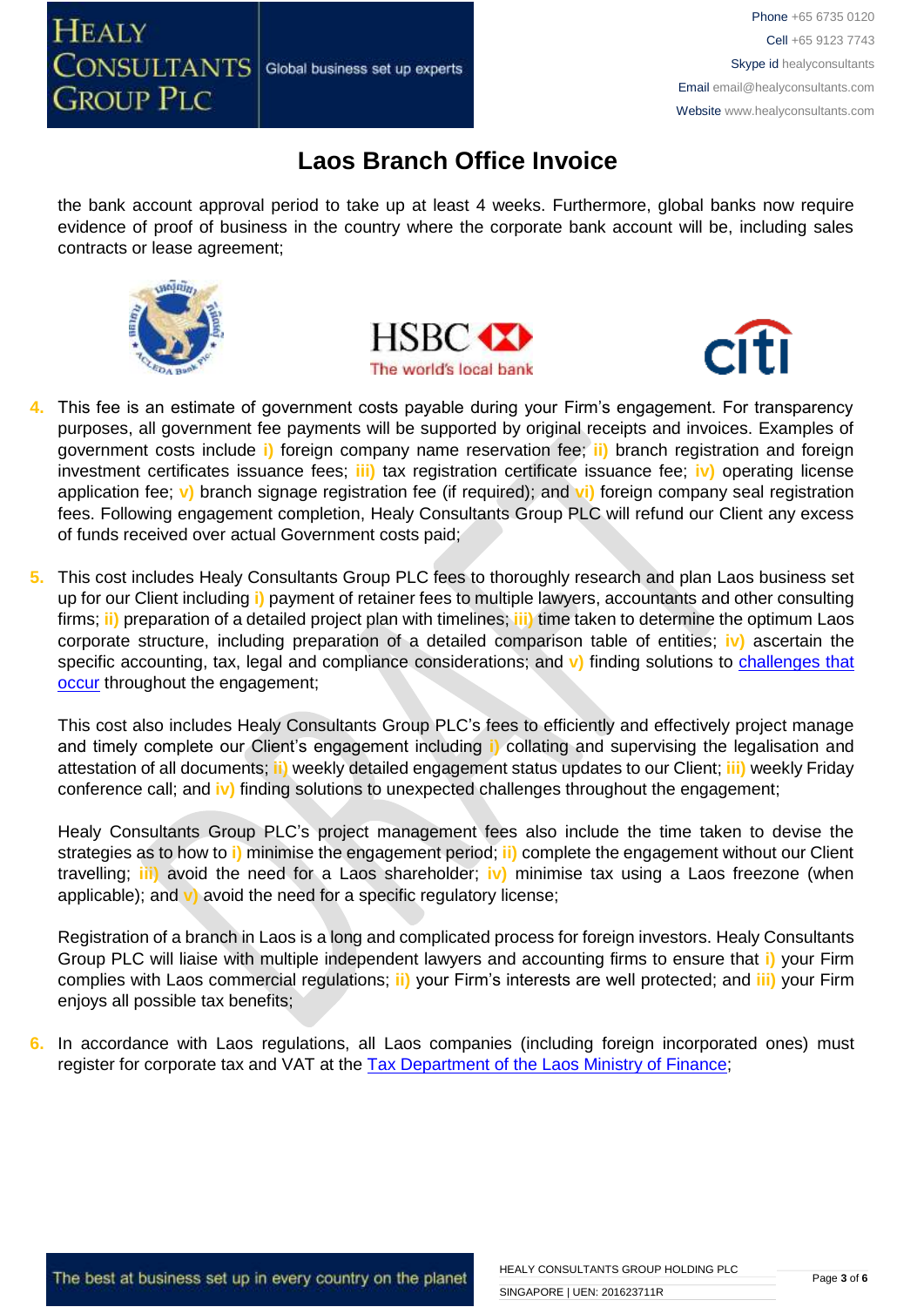

### **Laos Branch Office Invoice**

the bank account approval period to take up at least 4 weeks. Furthermore, global banks now require evidence of proof of business in the country where the corporate bank account will be, including sales contracts or lease agreement;







- **4.** This fee is an estimate of government costs payable during your Firm's engagement. For transparency purposes, all government fee payments will be supported by original receipts and invoices. Examples of government costs include **i)** foreign company name reservation fee; **ii)** branch registration and foreign investment certificates issuance fees; **iii)** tax registration certificate issuance fee; **iv)** operating license application fee; **v)** branch signage registration fee (if required); and **vi)** foreign company seal registration fees. Following engagement completion, Healy Consultants Group PLC will refund our Client any excess of funds received over actual Government costs paid;
- **5.** This cost includes Healy Consultants Group PLC fees to thoroughly research and plan Laos business set up for our Client including **i)** payment of retainer fees to multiple lawyers, accountants and other consulting firms; **ii)** preparation of a detailed project plan with timelines; **iii)** time taken to determine the optimum Laos corporate structure, including preparation of a detailed comparison table of entities; **iv)** ascertain the specific accounting, tax, legal and compliance considerations; and v) finding solutions to challenges that [occur](http://www.healyconsultants.com/engagement-project-management/) throughout the engagement;

This cost also includes Healy Consultants Group PLC's fees to efficiently and effectively project manage and timely complete our Client's engagement including **i)** collating and supervising the legalisation and attestation of all documents; **ii)** weekly detailed engagement status updates to our Client; **iii)** weekly Friday conference call; and **iv)** finding solutions to unexpected challenges throughout the engagement;

Healy Consultants Group PLC's project management fees also include the time taken to devise the strategies as to how to **i)** minimise the engagement period; **ii)** complete the engagement without our Client travelling; **iii)** avoid the need for a Laos shareholder; **iv)** minimise tax using a Laos freezone (when applicable); and **v)** avoid the need for a specific regulatory license;

Registration of a branch in Laos is a long and complicated process for foreign investors. Healy Consultants Group PLC will liaise with multiple independent lawyers and accounting firms to ensure that **i)** your Firm complies with Laos commercial regulations; **ii)** your Firm's interests are well protected; and **iii)** your Firm enjoys all possible tax benefits;

**6.** In accordance with Laos regulations, all Laos companies (including foreign incorporated ones) must register for corporate tax and VAT at the [Tax Department of the Laos Ministry of Finance;](http://www.tax.gov.la/Eng_WebPAges/About.aspx)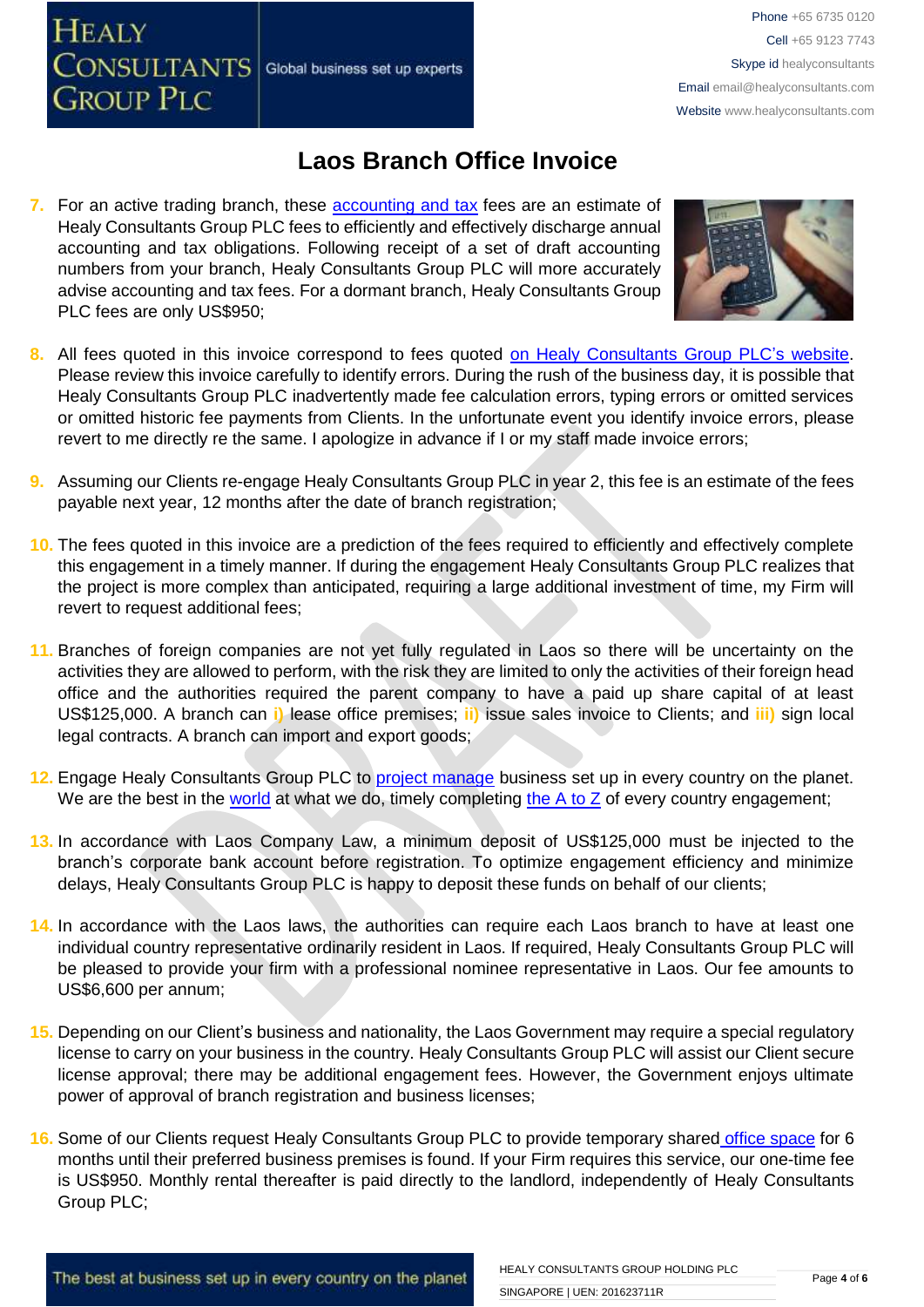**HEALY** CONSULTANTS Global business set up experts **GROUP PLC** 

Phone +65 6735 0120 Cell +65 9123 7743 Skype id healyconsultants Email [email@healyconsultants.com](mailto:EMAIL@HEALYCONSULTANTS.COM) Website [www.healyconsultants.com](http://www.healyconsultants.com/)

## **Laos Branch Office Invoice**

**7.** For an active trading branch, these accounting and tax fees are an estimate of Healy Consultants Group PLC fees to efficiently and effectively discharge annual accounting and tax obligations. Following receipt of a set of draft accounting numbers from your branch, Healy Consultants Group PLC will more accurately advise accounting and tax fees. For a dormant branch, Healy Consultants Group PLC fees are only US\$950;



- 8. All fees quoted in this invoice correspond to fees quoted [on Healy Consultants Group PLC's](http://www.healyconsultants.com/company-registration-fees/) website. Please review this invoice carefully to identify errors. During the rush of the business day, it is possible that Healy Consultants Group PLC inadvertently made fee calculation errors, typing errors or omitted services or omitted historic fee payments from Clients. In the unfortunate event you identify invoice errors, please revert to me directly re the same. I apologize in advance if I or my staff made invoice errors;
- **9.** Assuming our Clients re-engage Healy Consultants Group PLC in year 2, this fee is an estimate of the fees payable next year, 12 months after the date of branch registration;
- **10.** The fees quoted in this invoice are a prediction of the fees required to efficiently and effectively complete this engagement in a timely manner. If during the engagement Healy Consultants Group PLC realizes that the project is more complex than anticipated, requiring a large additional investment of time, my Firm will revert to request additional fees;
- **11.** Branches of foreign companies are not yet fully regulated in Laos so there will be uncertainty on the activities they are allowed to perform, with the risk they are limited to only the activities of their foreign head office and the authorities required the parent company to have a paid up share capital of at least US\$125,000. A branch can **i)** lease office premises; **ii)** issue sales invoice to Clients; and **iii)** sign local legal contracts. A branch can import and export goods;
- **12.** Engage Healy Consultants Group PLC to [project manage](http://www.healyconsultants.com/project-manage-engagements/) business set up in every country on the planet. We are the best in the [world](http://www.healyconsultants.com/best-in-the-world/) at what we do, timely completing the  $A$  to  $Z$  of every country engagement;
- **13.** In accordance with Laos Company Law, a minimum deposit of US\$125,000 must be injected to the branch's corporate bank account before registration. To optimize engagement efficiency and minimize delays, Healy Consultants Group PLC is happy to deposit these funds on behalf of our clients;
- **14.** In accordance with the Laos laws, the authorities can require each Laos branch to have at least one individual country representative ordinarily resident in Laos. If required, Healy Consultants Group PLC will be pleased to provide your firm with a professional nominee representative in Laos. Our fee amounts to US\$6,600 per annum;
- **15.** Depending on our Client's business and nationality, the Laos Government may require a special regulatory license to carry on your business in the country. Healy Consultants Group PLC will assist our Client secure license approval; there may be additional engagement fees. However, the Government enjoys ultimate power of approval of branch registration and business licenses;
- **16.** Some of our Clients request Healy Consultants Group PLC to provide temporary shared [office space](http://www.healyconsultants.com/virtual-office/) for 6 months until their preferred business premises is found. If your Firm requires this service, our one-time fee is US\$950. Monthly rental thereafter is paid directly to the landlord, independently of Healy Consultants Group PLC;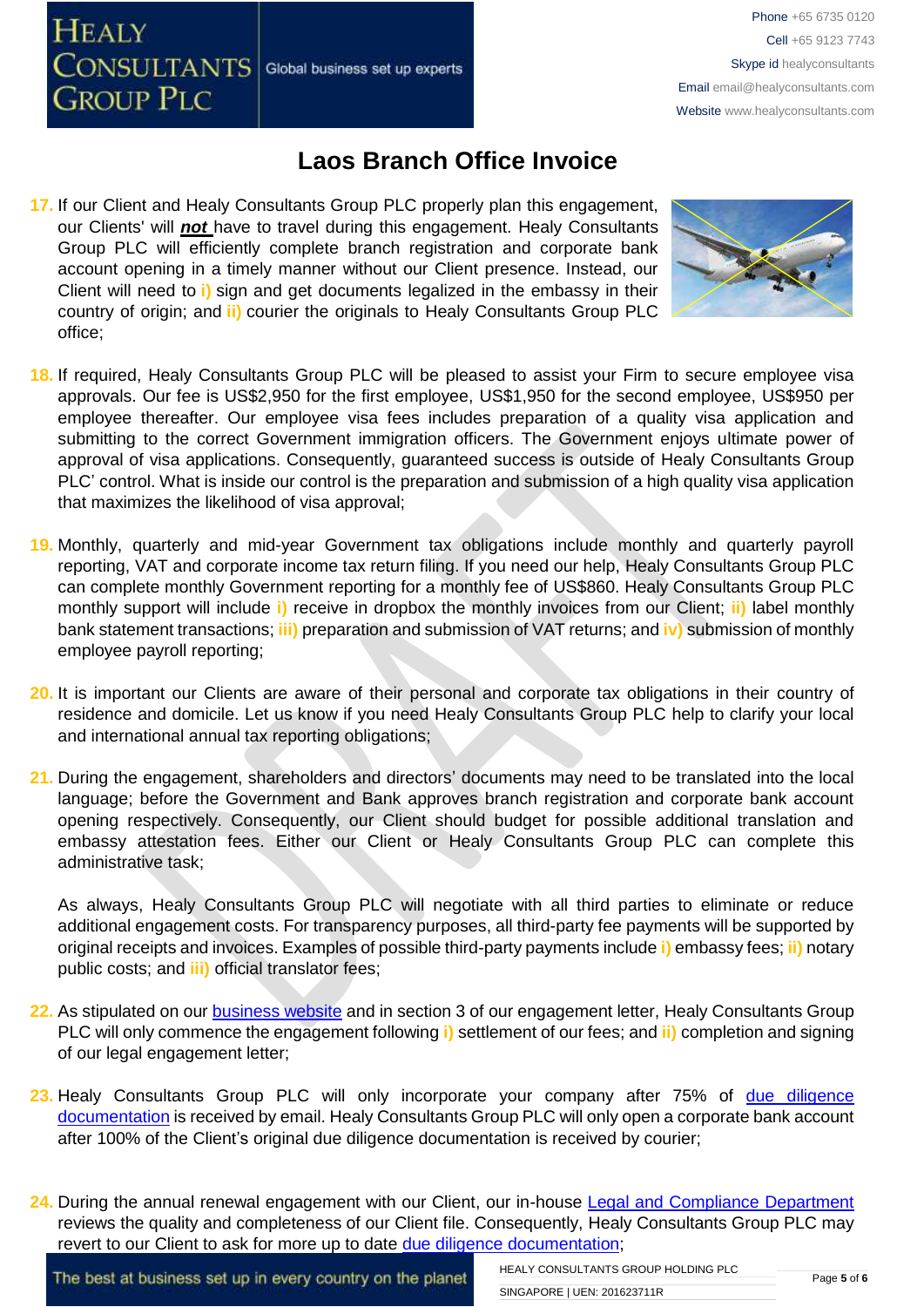**CONSULTANTS** Global business set up experts

**HEALY** 

**GROUP PLC** 

Phone +65 6735 0120 Cell +65 9123 7743 Skype id healyconsultants Email [email@healyconsultants.com](mailto:EMAIL@HEALYCONSULTANTS.COM) Website [www.healyconsultants.com](http://www.healyconsultants.com/)

### **Laos Branch Office Invoice**

**17.** If our Client and Healy Consultants Group PLC properly plan this engagement, our Clients' will *not* have to travel during this engagement. Healy Consultants Group PLC will efficiently complete branch registration and corporate bank account opening in a timely manner without our Client presence. Instead, our Client will need to **i)** sign and get documents legalized in the embassy in their country of origin; and **ii)** courier the originals to Healy Consultants Group PLC office;



- **18.** If required, Healy Consultants Group PLC will be pleased to assist your Firm to secure employee visa approvals. Our fee is US\$2,950 for the first employee, US\$1,950 for the second employee, US\$950 per employee thereafter. Our employee visa fees includes preparation of a quality visa application and submitting to the correct Government immigration officers. The Government enjoys ultimate power of approval of visa applications. Consequently, guaranteed success is outside of Healy Consultants Group PLC' control. What is inside our control is the preparation and submission of a high quality visa application that maximizes the likelihood of visa approval;
- **19.** Monthly, quarterly and mid-year Government tax obligations include monthly and quarterly payroll reporting, VAT and corporate income tax return filing. If you need our help, Healy Consultants Group PLC can complete monthly Government reporting for a monthly fee of US\$860. Healy Consultants Group PLC monthly support will include **i)** receive in dropbox the monthly invoices from our Client; **ii)** label monthly bank statement transactions; **iii)** preparation and submission of VAT returns; and **iv)** submission of monthly employee payroll reporting;
- **20.** It is important our Clients are aware of their personal and corporate tax obligations in their country of residence and domicile. Let us know if you need Healy Consultants Group PLC help to clarify your local and international annual tax reporting obligations;
- **21.** During the engagement, shareholders and directors' documents may need to be translated into the local language; before the Government and Bank approves branch registration and corporate bank account opening respectively. Consequently, our Client should budget for possible additional translation and embassy attestation fees. Either our Client or Healy Consultants Group PLC can complete this administrative task;

As always, Healy Consultants Group PLC will negotiate with all third parties to eliminate or reduce additional engagement costs. For transparency purposes, all third-party fee payments will be supported by original receipts and invoices. Examples of possible third-party payments include **i)** embassy fees; **ii)** notary public costs; and **iii)** official translator fees;

- **22.** As stipulated on our [business website](http://www.healyconsultants.com/) and in section 3 of our engagement letter, Healy Consultants Group PLC will only commence the engagement following **i)** settlement of our fees; and **ii)** completion and signing of our legal engagement letter;
- **23.** Healy Consultants Group PLC will only incorporate your company after 75% of [due diligence](http://www.healyconsultants.com/due-diligence/)  [documentation](http://www.healyconsultants.com/due-diligence/) is received by email. Healy Consultants Group PLC will only open a corporate bank account after 100% of the Client's original due diligence documentation is received by courier;
- 24. During the annual renewal engagement with our Client, our in-house [Legal and Compliance Department](http://www.healyconsultants.com/about-us/key-personnel/cai-xin-profile/) reviews the quality and completeness of our Client file. Consequently, Healy Consultants Group PLC may revert to our Client to ask for more up to date [due diligence documentation;](http://www.healyconsultants.com/due-diligence/)

The best at business set up in every country on the planet

HEALY CONSULTANTS GROUP HOLDING PLC SINGAPORE | UEN: 201623711R